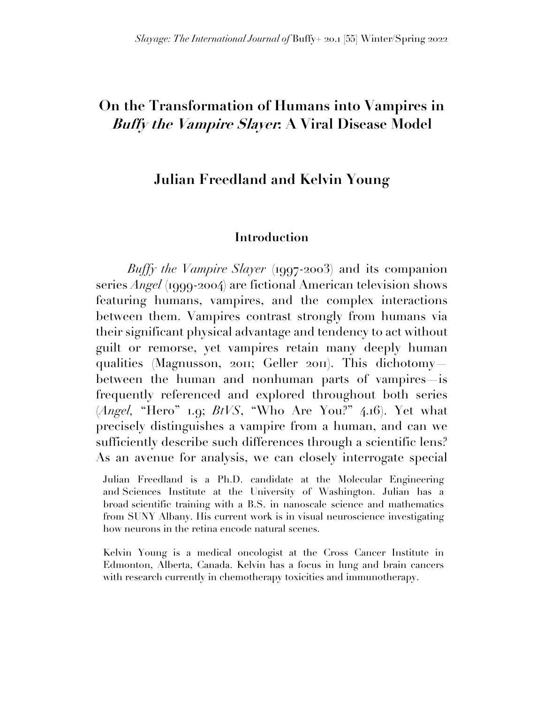# **On the Transformation of Humans into Vampires in Buffy the Vampire Slayer: A Viral Disease Model**

#### **Julian Freedland and Kelvin Young**

#### **Introduction**

*Buffy the Vampire Slayer* (1997-2003) and its companion series *Angel* (1999-2004) are fictional American television shows featuring humans, vampires, and the complex interactions between them. Vampires contrast strongly from humans via their significant physical advantage and tendency to act without guilt or remorse, yet vampires retain many deeply human qualities (Magnusson, 2011; Geller 2011). This dichotomy between the human and nonhuman parts of vampires is frequently referenced and explored throughout both series (*Angel,* "Hero" 1.9; *BtVS*, "Who Are You?" 4.16). Yet what precisely distinguishes a vampire from a human, and can we sufficiently describe such differences through a scientific lens? As an avenue for analysis, we can closely interrogate special

Julian Freedland is a Ph.D. candidate at the Molecular Engineering and Sciences Institute at the University of Washington. Julian has a broad scientific training with a B.S. in nanoscale science and mathematics from SUNY Albany. His current work is in visual neuroscience investigating how neurons in the retina encode natural scenes.

Kelvin Young is a medical oncologist at the Cross Cancer Institute in Edmonton, Alberta, Canada. Kelvin has a focus in lung and brain cancers with research currently in chemotherapy toxicities and immunotherapy.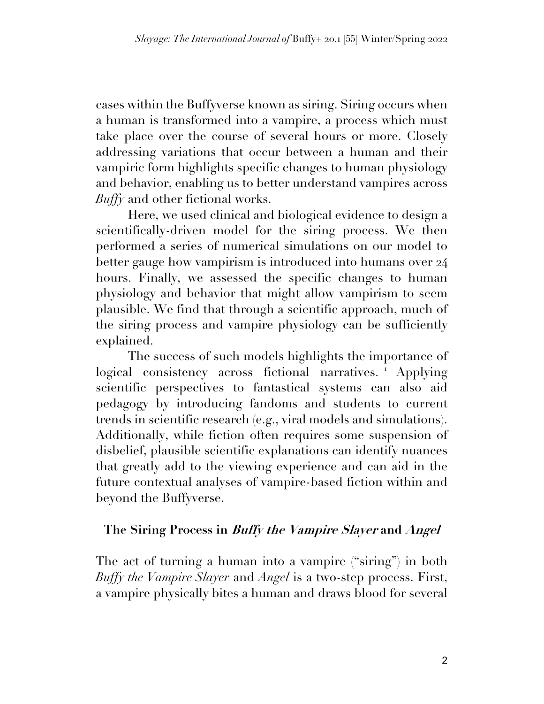cases within the Buffyverse known as siring. Siring occurs when a human is transformed into a vampire, a process which must take place over the course of several hours or more. Closely addressing variations that occur between a human and their vampiric form highlights specific changes to human physiology and behavior, enabling us to better understand vampires across *Buffy* and other fictional works.

Here, we used clinical and biological evidence to design a scientifically-driven model for the siring process. We then performed a series of numerical simulations on our model to better gauge how vampirism is introduced into humans over 24 hours. Finally, we assessed the specific changes to human physiology and behavior that might allow vampirism to seem plausible. We find that through a scientific approach, much of the siring process and vampire physiology can be sufficiently explained.

The success of such models highlights the importance of logical consistency across fictional narratives.<sup>1</sup> Applying scientific perspectives to fantastical systems can also aid pedagogy by introducing fandoms and students to current trends in scientific research (e.g., viral models and simulations). Additionally, while fiction often requires some suspension of disbelief, plausible scientific explanations can identify nuances that greatly add to the viewing experience and can aid in the future contextual analyses of vampire-based fiction within and beyond the Buffyverse.

#### **The Siring Process in Buffy the Vampire Slayer and Angel**

The act of turning a human into a vampire ("siring") in both *Buffy the Vampire Slayer* and *Angel* is a two-step process. First, a vampire physically bites a human and draws blood for several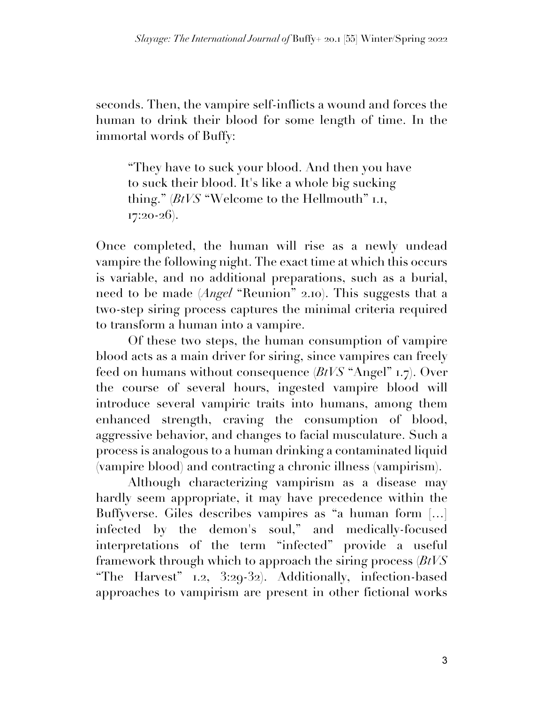seconds. Then, the vampire self-inflicts a wound and forces the human to drink their blood for some length of time. In the immortal words of Buffy:

"They have to suck your blood. And then you have to suck their blood. It's like a whole big sucking thing." (*BtVS* "Welcome to the Hellmouth" 1.1,  $17:20-26$ ).

Once completed, the human will rise as a newly undead vampire the following night. The exact time at which this occurs is variable, and no additional preparations, such as a burial, need to be made (*Angel* "Reunion" 2.10). This suggests that a two-step siring process captures the minimal criteria required to transform a human into a vampire.

Of these two steps, the human consumption of vampire blood acts as a main driver for siring, since vampires can freely feed on humans without consequence (*BtVS* "Angel" 1.7). Over the course of several hours, ingested vampire blood will introduce several vampiric traits into humans, among them enhanced strength, craving the consumption of blood, aggressive behavior, and changes to facial musculature. Such a process is analogous to a human drinking a contaminated liquid (vampire blood) and contracting a chronic illness (vampirism).

Although characterizing vampirism as a disease may hardly seem appropriate, it may have precedence within the Buffyverse. Giles describes vampires as "a human form […] infected by the demon's soul," and medically-focused interpretations of the term "infected" provide a useful framework through which to approach the siring process (*BtVS* "The Harvest" 1.2, 3:29-32). Additionally, infection-based approaches to vampirism are present in other fictional works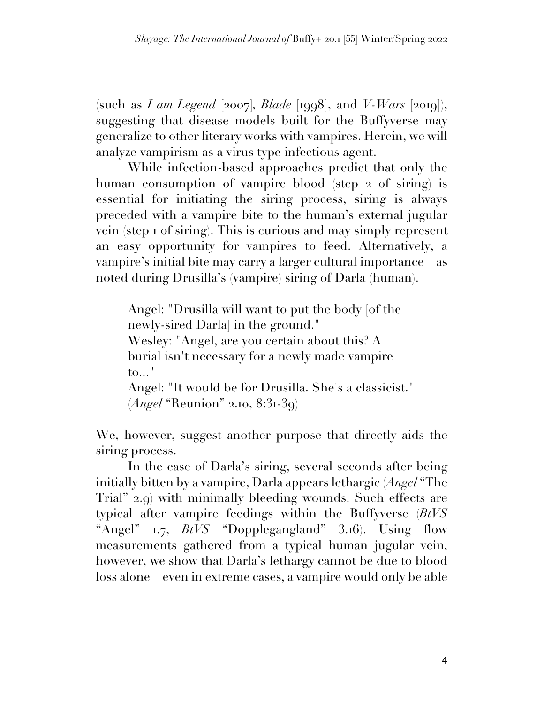(such as *I am Legend* [2007]*, Blade* [1998], and *V-Wars* [2019]), suggesting that disease models built for the Buffyverse may generalize to other literary works with vampires. Herein, we will analyze vampirism as a virus type infectious agent.

While infection-based approaches predict that only the human consumption of vampire blood (step 2 of siring) is essential for initiating the siring process, siring is always preceded with a vampire bite to the human's external jugular vein (step 1 of siring). This is curious and may simply represent an easy opportunity for vampires to feed. Alternatively, a vampire's initial bite may carry a larger cultural importance—as noted during Drusilla's (vampire) siring of Darla (human).

Angel: "Drusilla will want to put the body [of the newly-sired Darla] in the ground." Wesley: "Angel, are you certain about this? A burial isn't necessary for a newly made vampire to..." Angel: "It would be for Drusilla. She's a classicist." (*Angel* "Reunion" 2.10, 8:31-39)

We, however, suggest another purpose that directly aids the siring process.

In the case of Darla's siring, several seconds after being initially bitten by a vampire, Darla appears lethargic (*Angel* "The Trial" 2.9) with minimally bleeding wounds. Such effects are typical after vampire feedings within the Buffyverse (*BtVS* "Angel" 1.7, *BtVS* "Dopplegangland" 3.16). Using flow measurements gathered from a typical human jugular vein, however, we show that Darla's lethargy cannot be due to blood loss alone—even in extreme cases, a vampire would only be able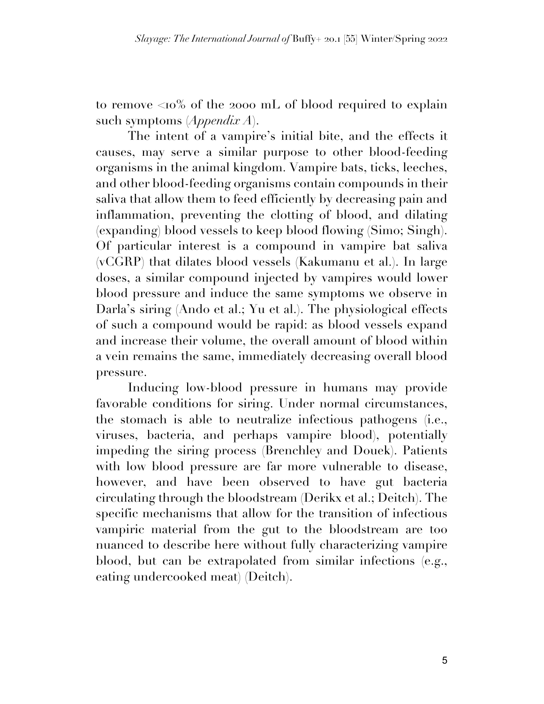to remove <10% of the 2000 mL of blood required to explain such symptoms (*Appendix A*).

The intent of a vampire's initial bite, and the effects it causes, may serve a similar purpose to other blood-feeding organisms in the animal kingdom. Vampire bats, ticks, leeches, and other blood-feeding organisms contain compounds in their saliva that allow them to feed efficiently by decreasing pain and inflammation, preventing the clotting of blood, and dilating (expanding) blood vessels to keep blood flowing (Simo; Singh). Of particular interest is a compound in vampire bat saliva (vCGRP) that dilates blood vessels (Kakumanu et al.). In large doses, a similar compound injected by vampires would lower blood pressure and induce the same symptoms we observe in Darla's siring (Ando et al.; Yu et al.). The physiological effects of such a compound would be rapid: as blood vessels expand and increase their volume, the overall amount of blood within a vein remains the same, immediately decreasing overall blood pressure.

Inducing low-blood pressure in humans may provide favorable conditions for siring. Under normal circumstances, the stomach is able to neutralize infectious pathogens (i.e., viruses, bacteria, and perhaps vampire blood), potentially impeding the siring process (Brenchley and Douek). Patients with low blood pressure are far more vulnerable to disease, however, and have been observed to have gut bacteria circulating through the bloodstream (Derikx et al.; Deitch). The specific mechanisms that allow for the transition of infectious vampiric material from the gut to the bloodstream are too nuanced to describe here without fully characterizing vampire blood, but can be extrapolated from similar infections (e.g., eating undercooked meat) (Deitch).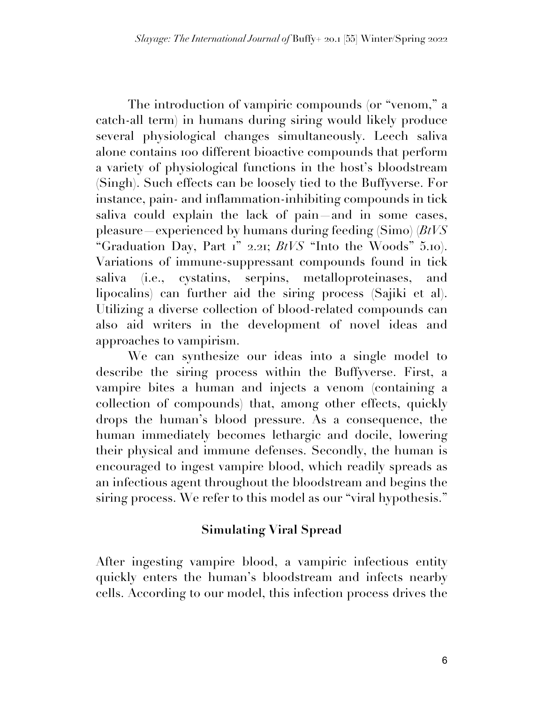The introduction of vampiric compounds (or "venom," a catch-all term) in humans during siring would likely produce several physiological changes simultaneously. Leech saliva alone contains 100 different bioactive compounds that perform a variety of physiological functions in the host's bloodstream (Singh). Such effects can be loosely tied to the Buffyverse. For instance, pain- and inflammation-inhibiting compounds in tick saliva could explain the lack of pain—and in some cases, pleasure—experienced by humans during feeding (Simo) (*BtVS* "Graduation Day, Part 1" 2.21; *BtVS* "Into the Woods" 5.10). Variations of immune-suppressant compounds found in tick saliva (i.e., cystatins, serpins, metalloproteinases, and lipocalins) can further aid the siring process (Sajiki et al). Utilizing a diverse collection of blood-related compounds can also aid writers in the development of novel ideas and approaches to vampirism.

We can synthesize our ideas into a single model to describe the siring process within the Buffyverse. First, a vampire bites a human and injects a venom (containing a collection of compounds) that, among other effects, quickly drops the human's blood pressure. As a consequence, the human immediately becomes lethargic and docile, lowering their physical and immune defenses. Secondly, the human is encouraged to ingest vampire blood, which readily spreads as an infectious agent throughout the bloodstream and begins the siring process. We refer to this model as our "viral hypothesis."

## **Simulating Viral Spread**

After ingesting vampire blood, a vampiric infectious entity quickly enters the human's bloodstream and infects nearby cells. According to our model, this infection process drives the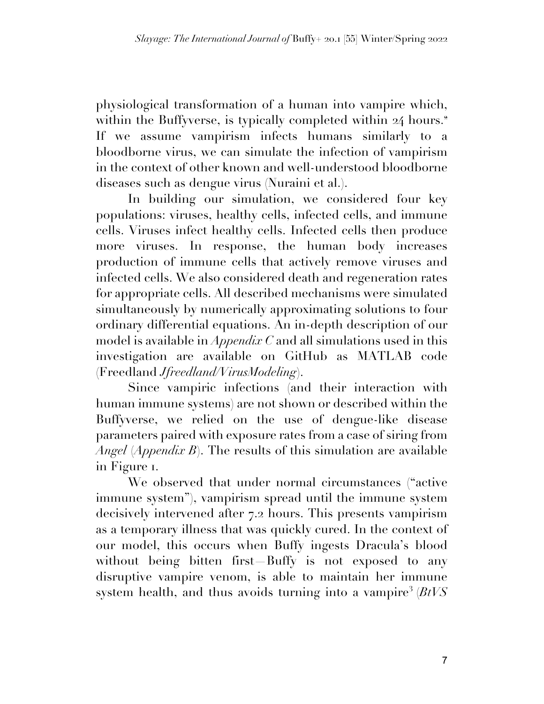physiological transformation of a human into vampire which, within the Buffyverse, is typically completed within 24 hours.<sup>2</sup> If we assume vampirism infects humans similarly to a bloodborne virus, we can simulate the infection of vampirism in the context of other known and well-understood bloodborne diseases such as dengue virus (Nuraini et al.).

In building our simulation, we considered four key populations: viruses, healthy cells, infected cells, and immune cells. Viruses infect healthy cells. Infected cells then produce more viruses. In response, the human body increases production of immune cells that actively remove viruses and infected cells. We also considered death and regeneration rates for appropriate cells. All described mechanisms were simulated simultaneously by numerically approximating solutions to four ordinary differential equations. An in-depth description of our model is available in *Appendix C* and all simulations used in this investigation are available on GitHub as MATLAB code (Freedland *Jfreedland/VirusModeling*).

Since vampiric infections (and their interaction with human immune systems) are not shown or described within the Buffyverse, we relied on the use of dengue-like disease parameters paired with exposure rates from a case of siring from *Angel* (*Appendix B*). The results of this simulation are available in Figure 1.

We observed that under normal circumstances ("active immune system"), vampirism spread until the immune system decisively intervened after 7.2 hours. This presents vampirism as a temporary illness that was quickly cured. In the context of our model, this occurs when Buffy ingests Dracula's blood without being bitten first Buffy is not exposed to any disruptive vampire venom, is able to maintain her immune system health, and thus avoids turning into a vampire<sup>3</sup> (*BtVS*)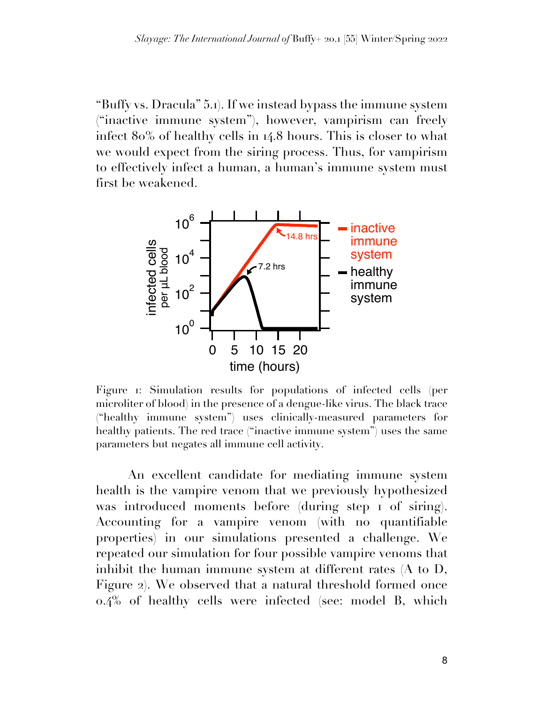"Buffy vs. Dracula" 5.1). If we instead bypass the immune system ("inactive immune system"), however, vampirism can freely infect 80% of healthy cells in 14.8 hours. This is closer to what we would expect from the siring process. Thus, for vampirism to effectively infect a human, a human's immune system must first be weakened.



Figure 1: Simulation results for populations of infected cells (per microliter of blood) in the presence of a dengue-like virus. The black trace ("healthy immune system") uses clinically-measured parameters for healthy patients. The red trace ("inactive immune system") uses the same parameters but negates all immune cell activity.

An excellent candidate for mediating immune system health is the vampire venom that we previously hypothesized was introduced moments before (during step 1 of siring). Accounting for a vampire venom (with no quantifiable properties) in our simulations presented a challenge. We repeated our simulation for four possible vampire venoms that inhibit the human immune system at different rates (A to D, Figure 2). We observed that a natural threshold formed once 0.4% of healthy cells were infected (see: model B, which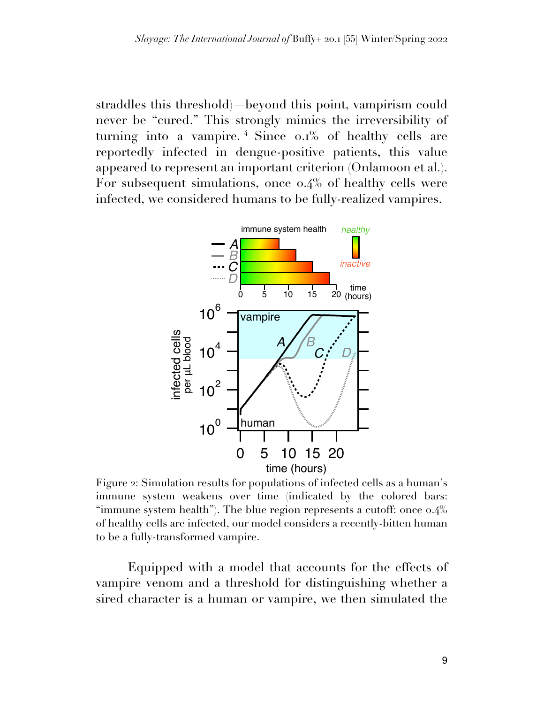straddles this threshold)—beyond this point, vampirism could never be "cured." This strongly mimics the irreversibility of turning into a vampire. <sup>4</sup> Since 0.1% of healthy cells are reportedly infected in dengue-positive patients, this value appeared to represent an important criterion (Onlamoon et al.). For subsequent simulations, once 0.4% of healthy cells were infected, we considered humans to be fully-realized vampires.



Figure 2: Simulation results for populations of infected cells as a human's immune system weakens over time (indicated by the colored bars: "immune system health"). The blue region represents a cutoff: once 0.4% of healthy cells are infected, our model considers a recently-bitten human to be a fully-transformed vampire.

Equipped with a model that accounts for the effects of vampire venom and a threshold for distinguishing whether a sired character is a human or vampire, we then simulated the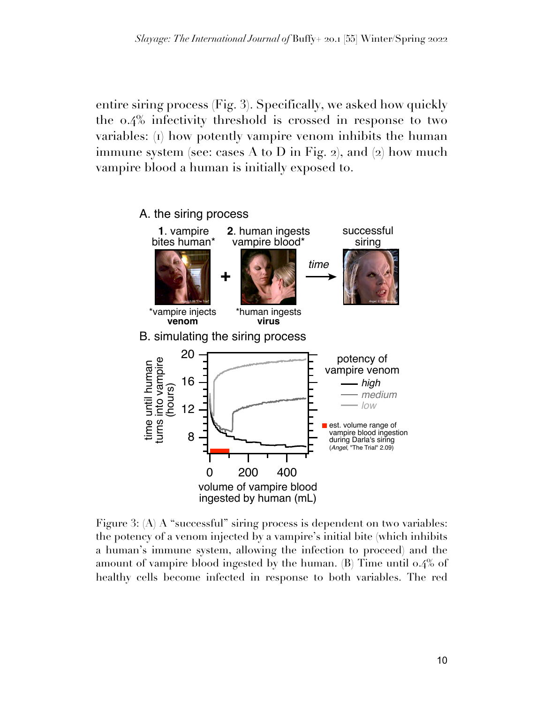entire siring process (Fig. 3). Specifically, we asked how quickly the 0.4% infectivity threshold is crossed in response to two variables: (1) how potently vampire venom inhibits the human immune system (see: cases A to D in Fig. 2), and  $(2)$  how much vampire blood a human is initially exposed to.



Figure 3: (A) A "successful" siring process is dependent on two variables: the potency of a venom injected by a vampire's initial bite (which inhibits a human's immune system, allowing the infection to proceed) and the amount of vampire blood ingested by the human. (B) Time until 0.4% of healthy cells become infected in response to both variables. The red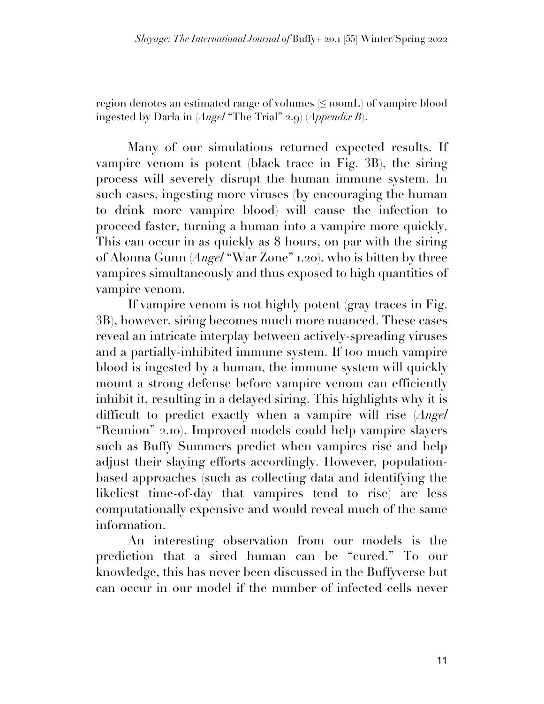region denotes an estimated range of volumes (≤ 100mL) of vampire blood ingested by Darla in (*Angel* "The Trial" 2.9) (*Appendix B*).

Many of our simulations returned expected results. If vampire venom is potent (black trace in Fig. 3B), the siring process will severely disrupt the human immune system. In such cases, ingesting more viruses (by encouraging the human to drink more vampire blood) will cause the infection to proceed faster, turning a human into a vampire more quickly. This can occur in as quickly as 8 hours, on par with the siring of Alonna Gunn (*Angel* "War Zone" 1.20), who is bitten by three vampires simultaneously and thus exposed to high quantities of vampire venom.

If vampire venom is not highly potent (gray traces in Fig. 3B), however, siring becomes much more nuanced. These cases reveal an intricate interplay between actively-spreading viruses and a partially-inhibited immune system. If too much vampire blood is ingested by a human, the immune system will quickly mount a strong defense before vampire venom can efficiently inhibit it, resulting in a delayed siring. This highlights why it is difficult to predict exactly when a vampire will rise (*Angel* "Reunion" 2.10). Improved models could help vampire slayers such as Buffy Summers predict when vampires rise and help adjust their slaying efforts accordingly. However, populationbased approaches (such as collecting data and identifying the likeliest time-of-day that vampires tend to rise) are less computationally expensive and would reveal much of the same information.

An interesting observation from our models is the prediction that a sired human can be "cured." To our knowledge, this has never been discussed in the Buffyverse but can occur in our model if the number of infected cells never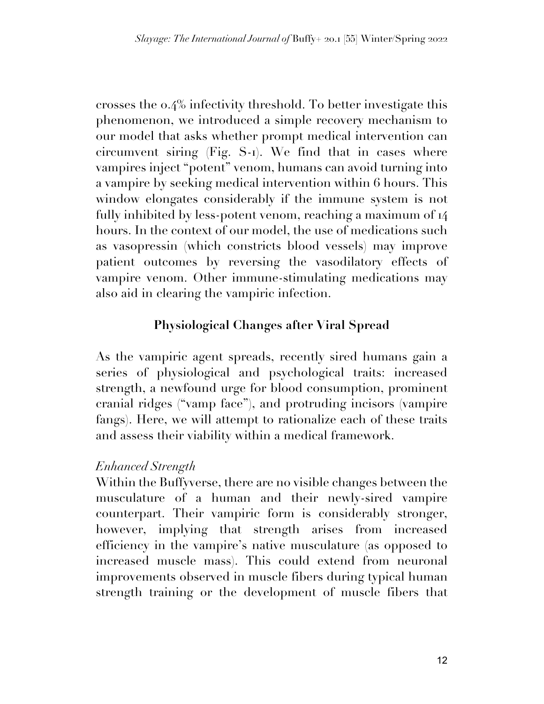crosses the 0.4% infectivity threshold. To better investigate this phenomenon, we introduced a simple recovery mechanism to our model that asks whether prompt medical intervention can circumvent siring (Fig. S-1). We find that in cases where vampires inject "potent" venom, humans can avoid turning into a vampire by seeking medical intervention within 6 hours. This window elongates considerably if the immune system is not fully inhibited by less-potent venom, reaching a maximum of 14 hours. In the context of our model, the use of medications such as vasopressin (which constricts blood vessels) may improve patient outcomes by reversing the vasodilatory effects of vampire venom. Other immune-stimulating medications may also aid in clearing the vampiric infection.

# **Physiological Changes after Viral Spread**

As the vampiric agent spreads, recently sired humans gain a series of physiological and psychological traits: increased strength, a newfound urge for blood consumption, prominent cranial ridges ("vamp face"), and protruding incisors (vampire fangs). Here, we will attempt to rationalize each of these traits and assess their viability within a medical framework.

## *Enhanced Strength*

Within the Buffyverse, there are no visible changes between the musculature of a human and their newly-sired vampire counterpart. Their vampiric form is considerably stronger, however, implying that strength arises from increased efficiency in the vampire's native musculature (as opposed to increased muscle mass). This could extend from neuronal improvements observed in muscle fibers during typical human strength training or the development of muscle fibers that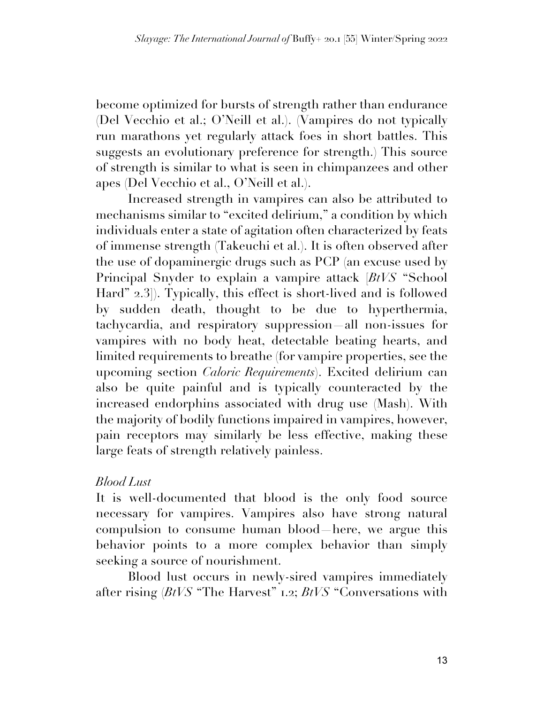become optimized for bursts of strength rather than endurance (Del Vecchio et al.; O'Neill et al.). (Vampires do not typically run marathons yet regularly attack foes in short battles. This suggests an evolutionary preference for strength.) This source of strength is similar to what is seen in chimpanzees and other apes (Del Vecchio et al., O'Neill et al.).

Increased strength in vampires can also be attributed to mechanisms similar to "excited delirium," a condition by which individuals enter a state of agitation often characterized by feats of immense strength (Takeuchi et al.). It is often observed after the use of dopaminergic drugs such as PCP (an excuse used by Principal Snyder to explain a vampire attack [*BtVS* "School Hard" 2.3]). Typically, this effect is short-lived and is followed by sudden death, thought to be due to hyperthermia, tachycardia, and respiratory suppression—all non-issues for vampires with no body heat, detectable beating hearts, and limited requirements to breathe (for vampire properties, see the upcoming section *Caloric Requirements*). Excited delirium can also be quite painful and is typically counteracted by the increased endorphins associated with drug use (Mash). With the majority of bodily functions impaired in vampires, however, pain receptors may similarly be less effective, making these large feats of strength relatively painless.

## *Blood Lust*

It is well-documented that blood is the only food source necessary for vampires. Vampires also have strong natural compulsion to consume human blood—here, we argue this behavior points to a more complex behavior than simply seeking a source of nourishment.

Blood lust occurs in newly-sired vampires immediately after rising (*BtVS* "The Harvest" 1.2; *BtVS* "Conversations with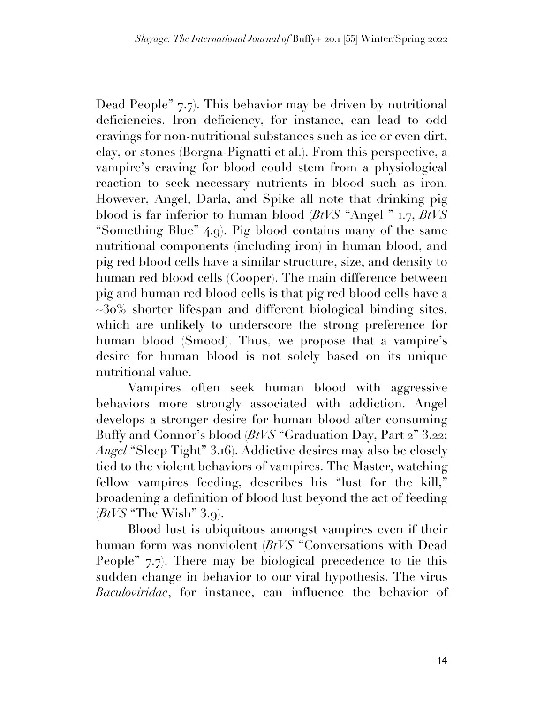Dead People" 7.7). This behavior may be driven by nutritional deficiencies. Iron deficiency, for instance, can lead to odd cravings for non-nutritional substances such as ice or even dirt, clay, or stones (Borgna-Pignatti et al.). From this perspective, a vampire's craving for blood could stem from a physiological reaction to seek necessary nutrients in blood such as iron. However, Angel, Darla, and Spike all note that drinking pig blood is far inferior to human blood (*BtVS* "Angel " 1.7, *BtVS* "Something Blue" 4.9). Pig blood contains many of the same nutritional components (including iron) in human blood, and pig red blood cells have a similar structure, size, and density to human red blood cells (Cooper). The main difference between pig and human red blood cells is that pig red blood cells have a  $\sim$ 30% shorter lifespan and different biological binding sites, which are unlikely to underscore the strong preference for human blood (Smood). Thus, we propose that a vampire's desire for human blood is not solely based on its unique nutritional value.

Vampires often seek human blood with aggressive behaviors more strongly associated with addiction. Angel develops a stronger desire for human blood after consuming Buffy and Connor's blood (*BtVS* "Graduation Day, Part 2" 3.22; *Angel* "Sleep Tight" 3.16). Addictive desires may also be closely tied to the violent behaviors of vampires. The Master, watching fellow vampires feeding, describes his "lust for the kill," broadening a definition of blood lust beyond the act of feeding (*BtVS* "The Wish" 3.9).

Blood lust is ubiquitous amongst vampires even if their human form was nonviolent (*BtVS* "Conversations with Dead People" 7.7). There may be biological precedence to tie this sudden change in behavior to our viral hypothesis. The virus *Baculoviridae*, for instance, can influence the behavior of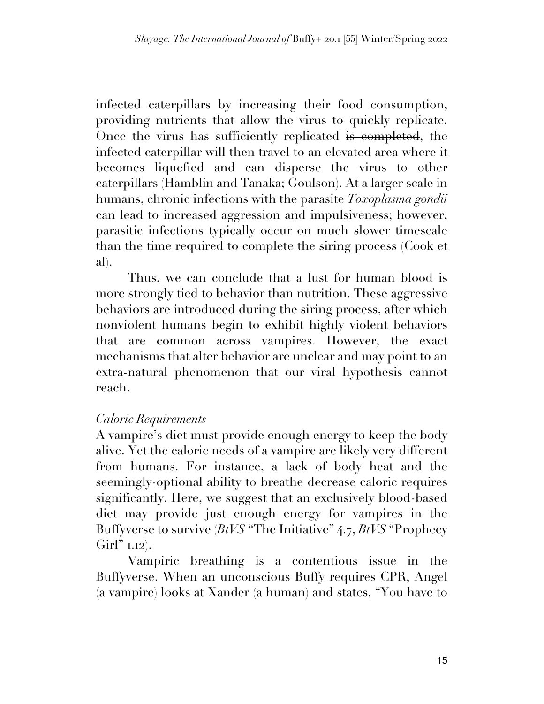infected caterpillars by increasing their food consumption, providing nutrients that allow the virus to quickly replicate. Once the virus has sufficiently replicated is completed, the infected caterpillar will then travel to an elevated area where it becomes liquefied and can disperse the virus to other caterpillars (Hamblin and Tanaka; Goulson). At a larger scale in humans, chronic infections with the parasite *Toxoplasma gondii* can lead to increased aggression and impulsiveness; however, parasitic infections typically occur on much slower timescale than the time required to complete the siring process (Cook et al).

Thus, we can conclude that a lust for human blood is more strongly tied to behavior than nutrition. These aggressive behaviors are introduced during the siring process, after which nonviolent humans begin to exhibit highly violent behaviors that are common across vampires. However, the exact mechanisms that alter behavior are unclear and may point to an extra-natural phenomenon that our viral hypothesis cannot reach.

## *Caloric Requirements*

A vampire's diet must provide enough energy to keep the body alive. Yet the caloric needs of a vampire are likely very different from humans. For instance, a lack of body heat and the seemingly-optional ability to breathe decrease caloric requires significantly. Here, we suggest that an exclusively blood-based diet may provide just enough energy for vampires in the Buffyverse to survive (*BtVS* "The Initiative" 4.7, *BtVS* "Prophecy  $Girl" 1.12$ ).

Vampiric breathing is a contentious issue in the Buffyverse. When an unconscious Buffy requires CPR, Angel (a vampire) looks at Xander (a human) and states, "You have to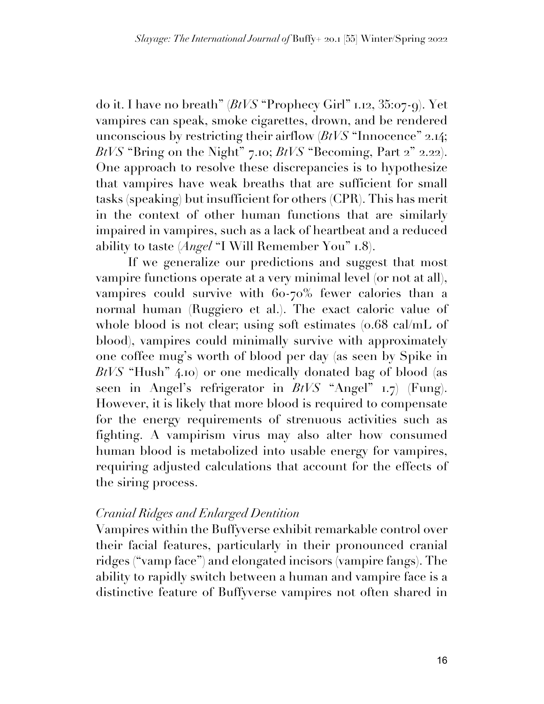do it. I have no breath" (*BtVS* "Prophecy Girl" 1.12, 35:07-9). Yet vampires can speak, smoke cigarettes, drown, and be rendered unconscious by restricting their airflow (*BtVS* "Innocence" 2.14; *BtVS* "Bring on the Night" 7.10; *BtVS* "Becoming, Part 2" 2.22). One approach to resolve these discrepancies is to hypothesize that vampires have weak breaths that are sufficient for small tasks (speaking) but insufficient for others (CPR). This has merit in the context of other human functions that are similarly impaired in vampires, such as a lack of heartbeat and a reduced ability to taste (*Angel* "I Will Remember You" 1.8).

If we generalize our predictions and suggest that most vampire functions operate at a very minimal level (or not at all), vampires could survive with 60-70% fewer calories than a normal human (Ruggiero et al.). The exact caloric value of whole blood is not clear; using soft estimates (0.68 cal/mL of blood), vampires could minimally survive with approximately one coffee mug's worth of blood per day (as seen by Spike in *BtVS* "Hush" 4.10) or one medically donated bag of blood (as seen in Angel's refrigerator in *BtVS* "Angel" 1.7) (Fung). However, it is likely that more blood is required to compensate for the energy requirements of strenuous activities such as fighting. A vampirism virus may also alter how consumed human blood is metabolized into usable energy for vampires, requiring adjusted calculations that account for the effects of the siring process.

## *Cranial Ridges and Enlarged Dentition*

Vampires within the Buffyverse exhibit remarkable control over their facial features, particularly in their pronounced cranial ridges ("vamp face") and elongated incisors (vampire fangs). The ability to rapidly switch between a human and vampire face is a distinctive feature of Buffyverse vampires not often shared in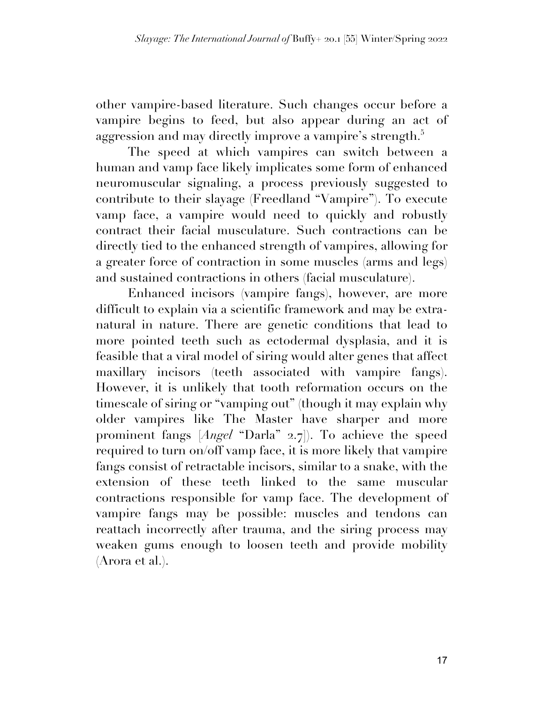other vampire-based literature. Such changes occur before a vampire begins to feed, but also appear during an act of aggression and may directly improve a vampire's strength. $^5$ 

The speed at which vampires can switch between a human and vamp face likely implicates some form of enhanced neuromuscular signaling, a process previously suggested to contribute to their slayage (Freedland "Vampire"). To execute vamp face, a vampire would need to quickly and robustly contract their facial musculature. Such contractions can be directly tied to the enhanced strength of vampires, allowing for a greater force of contraction in some muscles (arms and legs) and sustained contractions in others (facial musculature).

Enhanced incisors (vampire fangs), however, are more difficult to explain via a scientific framework and may be extranatural in nature. There are genetic conditions that lead to more pointed teeth such as ectodermal dysplasia, and it is feasible that a viral model of siring would alter genes that affect maxillary incisors (teeth associated with vampire fangs). However, it is unlikely that tooth reformation occurs on the timescale of siring or "vamping out" (though it may explain why older vampires like The Master have sharper and more prominent fangs [*Angel* "Darla" 2.7]). To achieve the speed required to turn on/off vamp face, it is more likely that vampire fangs consist of retractable incisors, similar to a snake, with the extension of these teeth linked to the same muscular contractions responsible for vamp face. The development of vampire fangs may be possible: muscles and tendons can reattach incorrectly after trauma, and the siring process may weaken gums enough to loosen teeth and provide mobility (Arora et al.).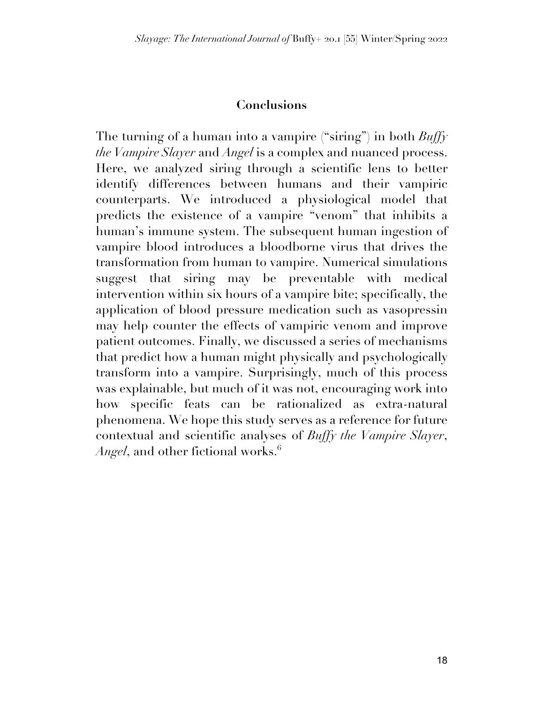## **Conclusions**

The turning of a human into a vampire ("siring") in both *Buffy the Vampire Slayer* and *Angel* is a complex and nuanced process. Here, we analyzed siring through a scientific lens to better identify differences between humans and their vampiric counterparts. We introduced a physiological model that predicts the existence of a vampire "venom" that inhibits a human's immune system. The subsequent human ingestion of vampire blood introduces a bloodborne virus that drives the transformation from human to vampire. Numerical simulations suggest that siring may be preventable with medical intervention within six hours of a vampire bite; specifically, the application of blood pressure medication such as vasopressin may help counter the effects of vampiric venom and improve patient outcomes. Finally, we discussed a series of mechanisms that predict how a human might physically and psychologically transform into a vampire. Surprisingly, much of this process was explainable, but much of it was not, encouraging work into how specific feats can be rationalized as extra-natural phenomena. We hope this study serves as a reference for future contextual and scientific analyses of *Buffy the Vampire Slayer*, *Angel*, and other fictional works.<sup>6</sup>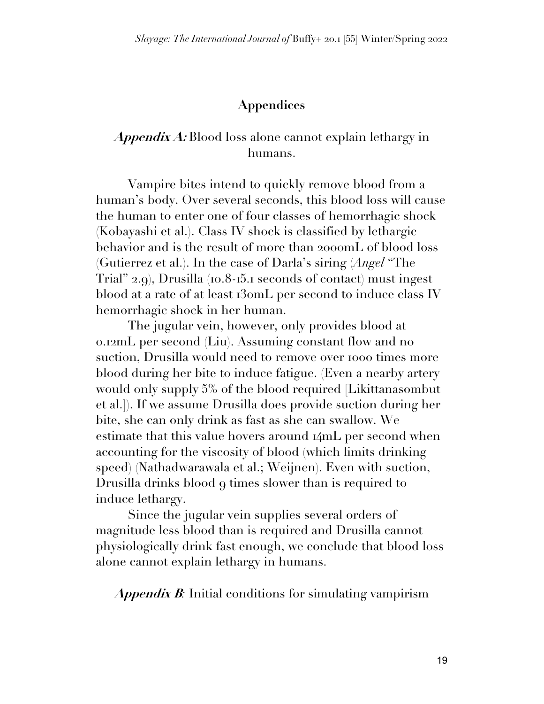#### **Appendices**

#### **Appendix A:** Blood loss alone cannot explain lethargy in humans.

Vampire bites intend to quickly remove blood from a human's body. Over several seconds, this blood loss will cause the human to enter one of four classes of hemorrhagic shock (Kobayashi et al.). Class IV shock is classified by lethargic behavior and is the result of more than 2000mL of blood loss (Gutierrez et al.). In the case of Darla's siring (*Angel* "The Trial" 2.9), Drusilla (10.8-15.1 seconds of contact) must ingest blood at a rate of at least 130mL per second to induce class IV hemorrhagic shock in her human.

The jugular vein, however, only provides blood at 0.12mL per second (Liu). Assuming constant flow and no suction, Drusilla would need to remove over 1000 times more blood during her bite to induce fatigue. (Even a nearby artery would only supply 5% of the blood required [Likittanasombut et al.]). If we assume Drusilla does provide suction during her bite, she can only drink as fast as she can swallow. We estimate that this value hovers around 14mL per second when accounting for the viscosity of blood (which limits drinking speed) (Nathadwarawala et al.; Weijnen). Even with suction, Drusilla drinks blood 9 times slower than is required to induce lethargy.

Since the jugular vein supplies several orders of magnitude less blood than is required and Drusilla cannot physiologically drink fast enough, we conclude that blood loss alone cannot explain lethargy in humans.

**Appendix B***:* Initial conditions for simulating vampirism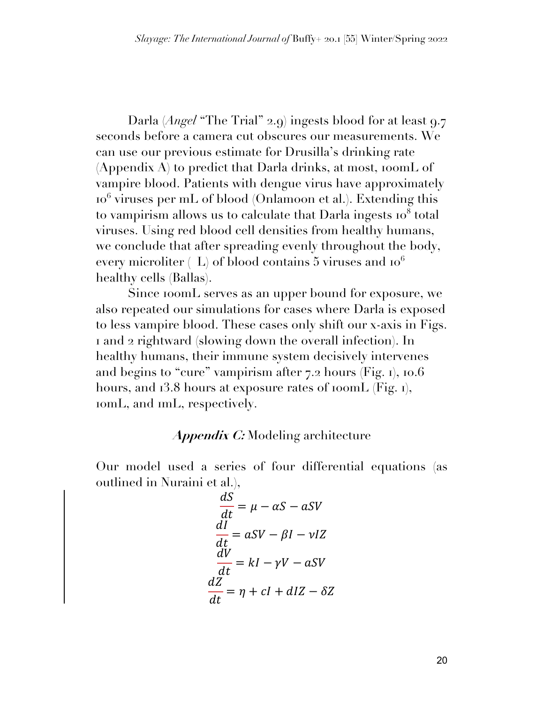Darla (*Angel* "The Trial" 2.9) ingests blood for at least 9.7 seconds before a camera cut obscures our measurements. We can use our previous estimate for Drusilla's drinking rate  $(A$ ppendix  $A)$  to predict that Darla drinks, at most, 100mL of vampire blood. Patients with dengue virus have approximately  $10<sup>6</sup>$  viruses per mL of blood (Onlamoon et al.). Extending this to vampirism allows us to calculate that Darla ingests  $10<sup>8</sup>$  total viruses. Using red blood cell densities from healthy humans, we conclude that after spreading evenly throughout the body, every microliter  $(L)$  of blood contains 5 viruses and  $10<sup>6</sup>$ healthy cells (Ballas).

Since 100mL serves as an upper bound for exposure, we also repeated our simulations for cases where Darla is exposed to less vampire blood. These cases only shift our x-axis in Figs. 1 and 2 rightward (slowing down the overall infection). In healthy humans, their immune system decisively intervenes and begins to "cure" vampirism after 7.2 hours (Fig. 1), 10.6 hours, and 13.8 hours at exposure rates of 100mL (Fig. 1), 10mL, and 1mL, respectively.

#### **Appendix C:** Modeling architecture

Our model used a series of four differential equations (as outlined in Nuraini et al.),

$$
\frac{dS}{dt} = \mu - \alpha S - aSV
$$
  

$$
\frac{dI}{dt} = aSV - \beta I - vIZ
$$
  

$$
\frac{dV}{dt} = kl - \gamma V - aSV
$$
  

$$
\frac{dZ}{dt} = \eta + cl + dIZ - \delta Z
$$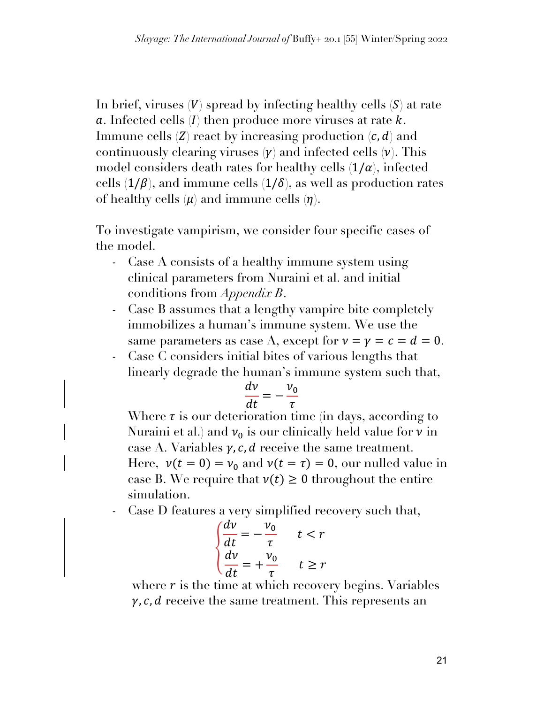In brief, viruses  $(V)$  spread by infecting healthy cells  $(S)$  at rate  $a$ . Infected cells  $(I)$  then produce more viruses at rate  $k$ . Immune cells  $(Z)$  react by increasing production  $(c, d)$  and continuously clearing viruses  $(\gamma)$  and infected cells  $(\nu)$ . This model considers death rates for healthy cells  $(1/\alpha)$ , infected cells  $(1/\beta)$ , and immune cells  $(1/\delta)$ , as well as production rates of healthy cells  $(\mu)$  and immune cells  $(\eta)$ .

To investigate vampirism, we consider four specific cases of the model.

- Case A consists of a healthy immune system using clinical parameters from Nuraini et al. and initial conditions from *Appendix B*.
- Case B assumes that a lengthy vampire bite completely immobilizes a human's immune system. We use the same parameters as case A, except for  $\nu = \gamma = c = d = 0$ .
- Case C considers initial bites of various lengths that linearly degrade the human's immune system such that,

$$
\frac{dv}{dt} = -\frac{v_0}{\tau}
$$

Where  $\tau$  is our deterioration time (in days, according to Nuraini et al.) and  $v_0$  is our clinically held value for  $v$  in case A. Variables  $\gamma$ , c, d receive the same treatment. Here,  $v(t = 0) = v_0$  and  $v(t = \tau) = 0$ , our nulled value in case B. We require that  $v(t) \ge 0$  throughout the entire simulation.

Case D features a very simplified recovery such that,

$$
\begin{cases}\n\frac{dv}{dt} = -\frac{v_0}{\tau} & t < r \\
\frac{dv}{dt} = +\frac{v_0}{\tau} & t \ge r\n\end{cases}
$$

where  $r$  is the time at which recovery begins. Variables  $\gamma$ , c, d receive the same treatment. This represents an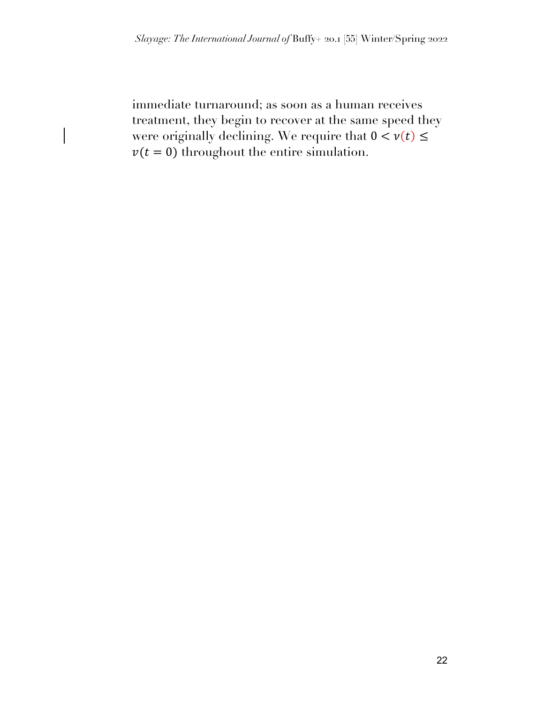immediate turnaround; as soon as a human receives treatment, they begin to recover at the same speed they were originally declining. We require that  $0 < v(t) \leq$  $v(t = 0)$  throughout the entire simulation.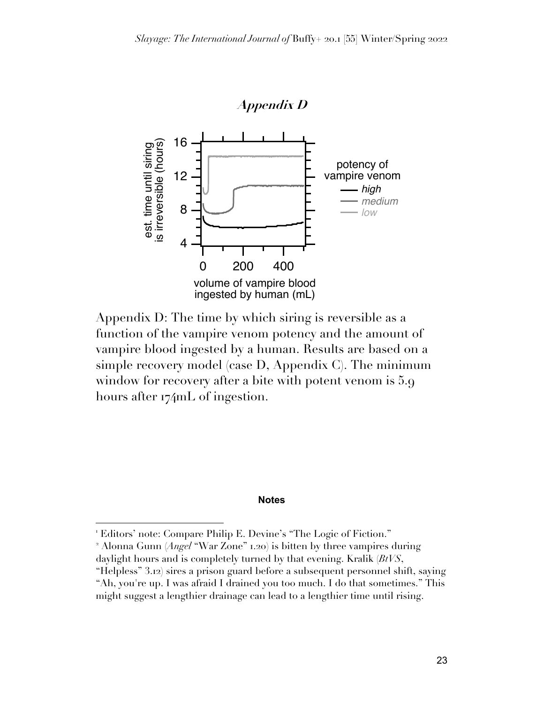

Appendix D: The time by which siring is reversible as a function of the vampire venom potency and the amount of vampire blood ingested by a human. Results are based on a simple recovery model (case D, Appendix C). The minimum window for recovery after a bite with potent venom is 5.9 hours after 174mL of ingestion.

#### **Notes**

<sup>&</sup>lt;sup>1</sup> Editors' note: Compare Philip E. Devine's "The Logic of Fiction."

<sup>2</sup> Alonna Gunn (*Angel* "War Zone" 1.20) is bitten by three vampires during daylight hours and is completely turned by that evening. Kralik (*BtVS*,

<sup>&</sup>quot;Helpless" 3.12) sires a prison guard before a subsequent personnel shift, saying "Ah, you're up. I was afraid I drained you too much. I do that sometimes." This might suggest a lengthier drainage can lead to a lengthier time until rising.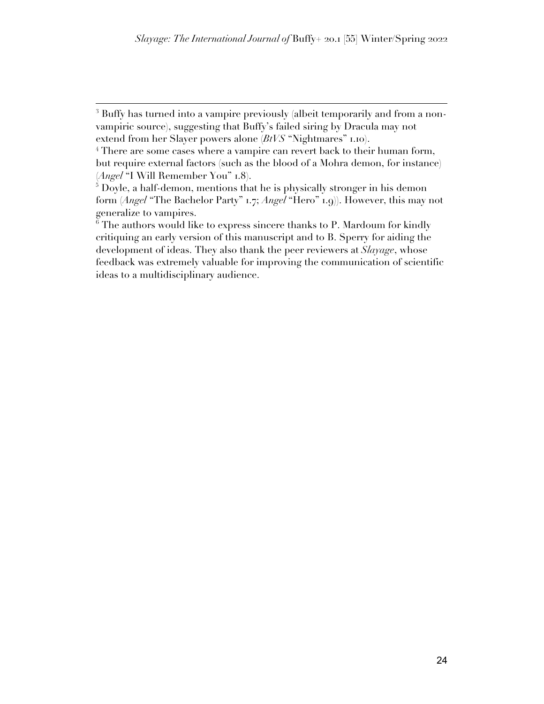<sup>&</sup>lt;sup>3</sup> Buffy has turned into a vampire previously (albeit temporarily and from a nonvampiric source), suggesting that Buffy's failed siring by Dracula may not extend from her Slayer powers alone (*BtVS* "Nightmares" 1.10).

<sup>&</sup>lt;sup>4</sup> There are some cases where a vampire can revert back to their human form, but require external factors (such as the blood of a Mohra demon, for instance) (*Angel* "I Will Remember You" 1.8).

<sup>&</sup>lt;sup>5</sup> Doyle, a half-demon, mentions that he is physically stronger in his demon form (*Angel* "The Bachelor Party" 1.7; *Angel* "Hero" 1.9)). However, this may not generalize to vampires.

 $6$  The authors would like to express sincere thanks to P. Mardoum for kindly critiquing an early version of this manuscript and to B. Sperry for aiding the development of ideas. They also thank the peer reviewers at *Slayage*, whose feedback was extremely valuable for improving the communication of scientific ideas to a multidisciplinary audience.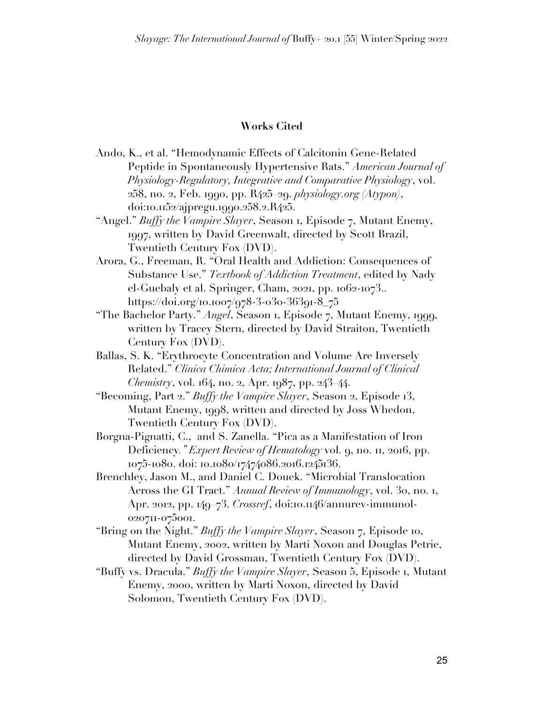#### **Works Cited**

- Ando, K., et al. "Hemodynamic Effects of Calcitonin Gene-Related Peptide in Spontaneously Hypertensive Rats." *American Journal of Physiology-Regulatory, Integrative and Comparative Physiology*, vol. 258, no. 2, Feb. 1990, pp. R425–29. *physiology.org (Atypon)*, doi:10.1152/ajpregu.1990.258.2.R425.
- "Angel." *Buffy the Vampire Slayer*, Season 1, Episode 7, Mutant Enemy, 1997, written by David Greenwalt, directed by Scott Brazil, Twentieth Century Fox (DVD).
- Arora, G., Freeman, R. "Oral Health and Addiction: Consequences of Substance Use." *Textbook of Addiction Treatment*, edited by Nady el-Guebaly et al. Springer, Cham, 2021, pp. 1062-1073.. https://doi.org/10.1007/978-3-030-36391-8\_75
- "The Bachelor Party." *Angel*, Season 1, Episode 7, Mutant Enemy, 1999, written by Tracey Stern, directed by David Straiton, Twentieth Century Fox (DVD).
- Ballas, S. K. "Erythrocyte Concentration and Volume Are Inversely Related." *Clinica Chimica Acta; International Journal of Clinical Chemistry*, vol. 164, no. 2, Apr. 1987, pp. 243–44.
- "Becoming, Part 2." *Buffy the Vampire Slayer*, Season 2, Episode 13, Mutant Enemy, 1998, written and directed by Joss Whedon, Twentieth Century Fox (DVD).
- Borgna-Pignatti, C., and S. Zanella. "Pica as a Manifestation of Iron Deficiency*." Expert Review of Hematology* vol. 9, no. 11, 2016, pp. 1075-1080. doi: 10.1080/17474086.2016.1245136.
- Brenchley, Jason M., and Daniel C. Douek. "Microbial Translocation Across the GI Tract." *Annual Review of Immunology*, vol. 30, no. 1, Apr. 2012, pp. 149–73. *Crossref*, doi:10.1146/annurev-immunol-020711-075001.
- "Bring on the Night." *Buffy the Vampire Slayer*, Season 7, Episode 10, Mutant Enemy, 2002, written by Marti Noxon and Douglas Petrie, directed by David Grossman, Twentieth Century Fox (DVD).
- "Buffy vs. Dracula." *Buffy the Vampire Slayer*, Season 5, Episode 1, Mutant Enemy, 2000, written by Marti Noxon, directed by David Solomon, Twentieth Century Fox (DVD).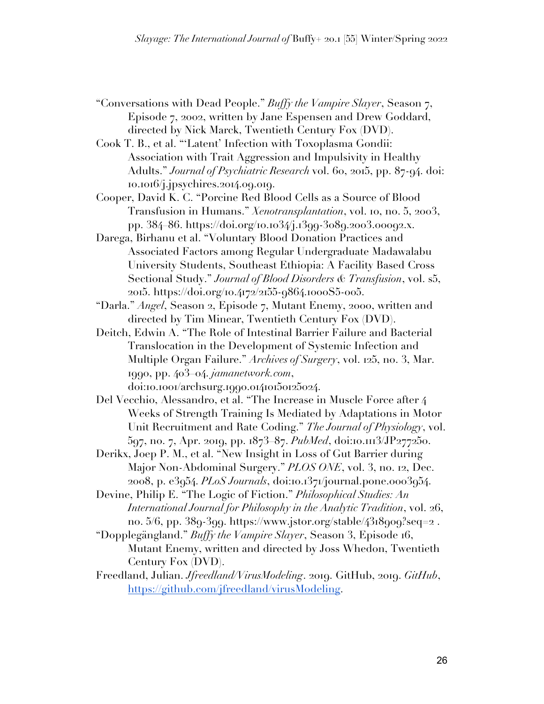- "Conversations with Dead People." *Buffy the Vampire Slayer*, Season 7, Episode 7, 2002, written by Jane Espensen and Drew Goddard, directed by Nick Marck, Twentieth Century Fox (DVD).
- Cook T. B., et al. "'Latent' Infection with Toxoplasma Gondii: Association with Trait Aggression and Impulsivity in Healthy Adults." *Journal of Psychiatric Research* vol. 60, 2015, pp. 87-94. doi: 10.1016/j.jpsychires.2014.09.019.
- Cooper, David K. C. "Porcine Red Blood Cells as a Source of Blood Transfusion in Humans." *Xenotransplantation*, vol. 10, no. 5, 2003, pp. 384–86. https://doi.org/10.1034/j.1399-3089.2003.00092.x.
- Darega, Birhanu et al. "Voluntary Blood Donation Practices and Associated Factors among Regular Undergraduate Madawalabu University Students, Southeast Ethiopia: A Facility Based Cross Sectional Study." *Journal of Blood Disorders & Transfusion*, vol. s5, 2015. https://doi.org/10.4172/2155-9864.1000S5-005.
- "Darla." *Angel*, Season 2, Episode 7, Mutant Enemy, 2000, written and directed by Tim Minear, Twentieth Century Fox (DVD).
- Deitch, Edwin A. "The Role of Intestinal Barrier Failure and Bacterial Translocation in the Development of Systemic Infection and Multiple Organ Failure." *Archives of Surgery*, vol. 125, no. 3, Mar. 1990, pp. 403–04. *jamanetwork.com*, doi:10.1001/archsurg.1990.01410150125024.
- Del Vecchio, Alessandro, et al. "The Increase in Muscle Force after 4 Weeks of Strength Training Is Mediated by Adaptations in Motor Unit Recruitment and Rate Coding." *The Journal of Physiology*, vol. 597, no. 7, Apr. 2019, pp. 1873–87. *PubMed*, doi:10.1113/JP277250.
- Derikx, Joep P. M., et al. "New Insight in Loss of Gut Barrier during Major Non-Abdominal Surgery." *PLOS ONE*, vol. 3, no. 12, Dec. 2008, p. e3954. *PLoS Journals*, doi:10.1371/journal.pone.0003954.
- Devine, Philip E. "The Logic of Fiction." *Philosophical Studies: An International Journal for Philosophy in the Analytic Tradition*, vol. 26, no.  $5/6$ , pp.  $38q-3qq$ . https://www.jstor.org/stable/4318909?seq=2.
- "Dopplegängland." *Buffy the Vampire Slayer*, Season 3, Episode 16, Mutant Enemy, written and directed by Joss Whedon, Twentieth Century Fox (DVD).
- Freedland, Julian. *Jfreedland/VirusModeling*. 2019. GitHub, 2019. *GitHub*, https://github.com/jfreedland/virusModeling.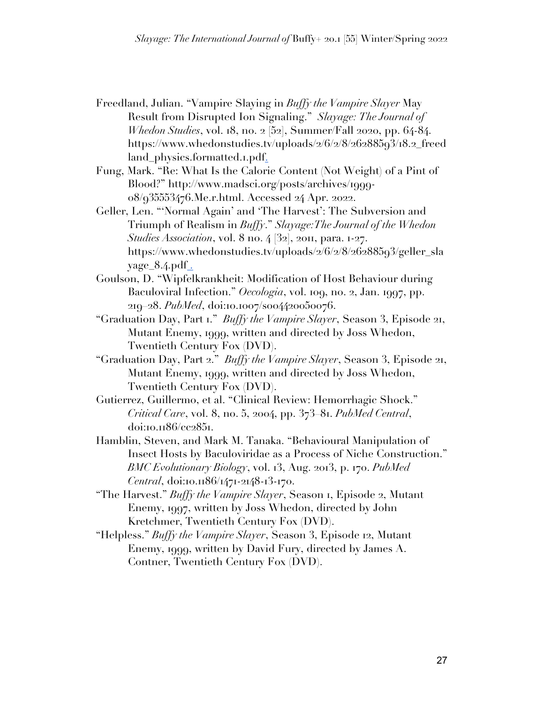- Freedland, Julian. "Vampire Slaying in *Buffy the Vampire Slayer* May Result from Disrupted Ion Signaling." *Slayage: The Journal of Whedon Studies*, vol. 18, no. 2 [52], Summer/Fall 2020, pp. 64-84. https://www.whedonstudies.tv/uploads/2/6/2/8/26288593/18.2\_freed land\_physics.formatted.1.pdf.
- Fung, Mark. "Re: What Is the Calorie Content (Not Weight) of a Pint of Blood?" http://www.madsci.org/posts/archives/1999- 08/935553476.Me.r.html. Accessed 24 Apr. 2022.
- Geller, Len. "'Normal Again' and 'The Harvest': The Subversion and Triumph of Realism in *Buffy*." *Slayage:The Journal of the Whedon Studies Association*, vol. 8 no. 4 [32], 2011, para. 1-27. https://www.whedonstudies.tv/uploads/2/6/2/8/26288593/geller\_sla  $yage_8.4.pdf$ .
- Goulson, D. "Wipfelkrankheit: Modification of Host Behaviour during Baculoviral Infection." *Oecologia*, vol. 109, no. 2, Jan. 1997, pp. 219–28. *PubMed*, doi:10.1007/s004420050076.
- "Graduation Day, Part 1." *Buffy the Vampire Slayer*, Season 3, Episode 21, Mutant Enemy, 1999, written and directed by Joss Whedon, Twentieth Century Fox (DVD).
- "Graduation Day, Part 2." *Buffy the Vampire Slayer*, Season 3, Episode 21, Mutant Enemy, 1999, written and directed by Joss Whedon, Twentieth Century Fox (DVD).
- Gutierrez, Guillermo, et al. "Clinical Review: Hemorrhagic Shock." *Critical Care*, vol. 8, no. 5, 2004, pp. 373–81. *PubMed Central*, doi:10.1186/cc2851.
- Hamblin, Steven, and Mark M. Tanaka. "Behavioural Manipulation of Insect Hosts by Baculoviridae as a Process of Niche Construction." *BMC Evolutionary Biology*, vol. 13, Aug. 2013, p. 170. *PubMed Central*, doi:10.1186/1471-2148-13-170.
- "The Harvest." *Buffy the Vampire Slayer*, Season 1, Episode 2, Mutant Enemy, 1997, written by Joss Whedon, directed by John Kretchmer, Twentieth Century Fox (DVD).
- "Helpless." *Buffy the Vampire Slayer*, Season 3, Episode 12, Mutant Enemy, 1999, written by David Fury, directed by James A. Contner, Twentieth Century Fox (DVD).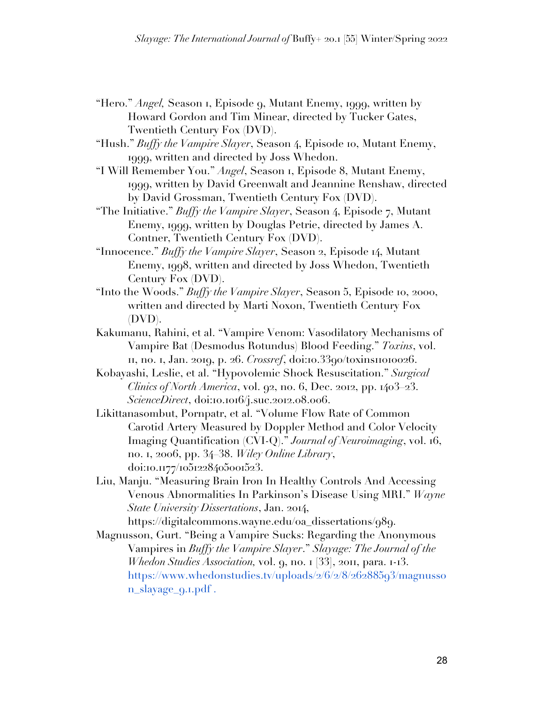- "Hero." *Angel,* Season 1, Episode 9, Mutant Enemy, 1999, written by Howard Gordon and Tim Minear, directed by Tucker Gates, Twentieth Century Fox (DVD).
- "Hush." *Buffy the Vampire Slayer*, Season 4, Episode 10, Mutant Enemy, 1999, written and directed by Joss Whedon.
- "I Will Remember You." *Angel*, Season 1, Episode 8, Mutant Enemy, 1999, written by David Greenwalt and Jeannine Renshaw, directed by David Grossman, Twentieth Century Fox (DVD).
- "The Initiative." *Buffy the Vampire Slayer*, Season 4, Episode 7, Mutant Enemy, 1999, written by Douglas Petrie, directed by James A. Contner, Twentieth Century Fox (DVD).
- "Innocence." *Buffy the Vampire Slayer*, Season 2, Episode 14, Mutant Enemy, 1998, written and directed by Joss Whedon, Twentieth Century Fox (DVD).
- "Into the Woods." *Buffy the Vampire Slayer*, Season 5, Episode 10, 2000, written and directed by Marti Noxon, Twentieth Century Fox (DVD).
- Kakumanu, Rahini, et al. "Vampire Venom: Vasodilatory Mechanisms of Vampire Bat (Desmodus Rotundus) Blood Feeding." *Toxins*, vol. 11, no. 1, Jan. 2019, p. 26. *Crossref*, doi:10.3390/toxins11010026.
- Kobayashi, Leslie, et al. "Hypovolemic Shock Resuscitation." *Surgical Clinics of North America*, vol. 92, no. 6, Dec. 2012, pp. 1403–23. *ScienceDirect*, doi:10.1016/j.suc.2012.08.006.
- Likittanasombut, Pornpatr, et al. "Volume Flow Rate of Common Carotid Artery Measured by Doppler Method and Color Velocity Imaging Quantification (CVI-Q)." *Journal of Neuroimaging*, vol. 16, no. 1, 2006, pp. 34–38. *Wiley Online Library*, doi:10.1177/1051228405001523.
- Liu, Manju. "Measuring Brain Iron In Healthy Controls And Accessing Venous Abnormalities In Parkinson's Disease Using MRI." *Wayne State University Dissertations*, Jan. 2014,

https://digitalcommons.wayne.edu/oa\_dissertations/989.

Magnusson, Gurt. "Being a Vampire Sucks: Regarding the Anonymous Vampires in *Buffy the Vampire Slayer*." *Slayage: The Journal of the Whedon Studies Association,* vol. 9, no. 1 [33], 2011, para. 1-13. https://www.whedonstudies.tv/uploads/2/6/2/8/26288593/magnusso n\_slayage\_9.1.pdf .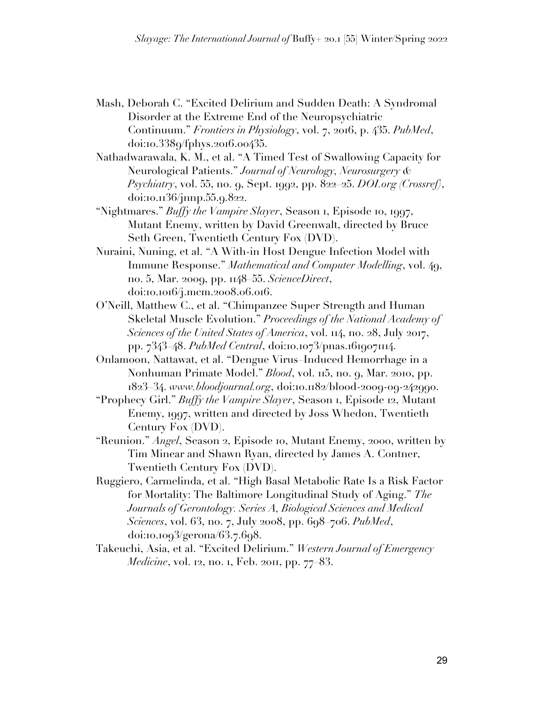- Mash, Deborah C. "Excited Delirium and Sudden Death: A Syndromal Disorder at the Extreme End of the Neuropsychiatric Continuum." *Frontiers in Physiology*, vol. 7, 2016, p. 435. *PubMed*, doi:10.3389/fphys.2016.00435.
- Nathadwarawala, K. M., et al. "A Timed Test of Swallowing Capacity for Neurological Patients." *Journal of Neurology, Neurosurgery & Psychiatry*, vol. 55, no. 9, Sept. 1992, pp. 822–25. *DOI.org (Crossref)*, doi:10.1136/jnnp.55.9.822.
- "Nightmares." *Buffy the Vampire Slayer*, Season 1, Episode 10, 1997, Mutant Enemy, written by David Greenwalt, directed by Bruce Seth Green, Twentieth Century Fox (DVD).
- Nuraini, Nuning, et al. "A With-in Host Dengue Infection Model with Immune Response." *Mathematical and Computer Modelling*, vol. 49, no. 5, Mar. 2009, pp. 1148–55. *ScienceDirect*, doi:10.1016/j.mcm.2008.06.016.
- O'Neill, Matthew C., et al. "Chimpanzee Super Strength and Human Skeletal Muscle Evolution." *Proceedings of the National Academy of Sciences of the United States of America*, vol. 114, no. 28, July 2017, pp. 7343–48. *PubMed Central*, doi:10.1073/pnas.1619071114.
- Onlamoon, Nattawat, et al. "Dengue Virus–Induced Hemorrhage in a Nonhuman Primate Model." *Blood*, vol. 115, no. 9, Mar. 2010, pp. 1823–34. *www.bloodjournal.org*, doi:10.1182/blood-2009-09-242990.
- "Prophecy Girl." *Buffy the Vampire Slayer*, Season 1, Episode 12, Mutant Enemy, 1997, written and directed by Joss Whedon, Twentieth Century Fox (DVD).
- "Reunion." *Angel*, Season 2, Episode 10, Mutant Enemy, 2000, written by Tim Minear and Shawn Ryan, directed by James A. Contner, Twentieth Century Fox (DVD).
- Ruggiero, Carmelinda, et al. "High Basal Metabolic Rate Is a Risk Factor for Mortality: The Baltimore Longitudinal Study of Aging." *The Journals of Gerontology. Series A, Biological Sciences and Medical Sciences*, vol. 63, no. 7, July 2008, pp. 698–706. *PubMed*, doi:10.1093/gerona/63.7.698.
- Takeuchi, Asia, et al. "Excited Delirium." *Western Journal of Emergency Medicine*, vol. 12, no. 1, Feb. 2011, pp. 77–83.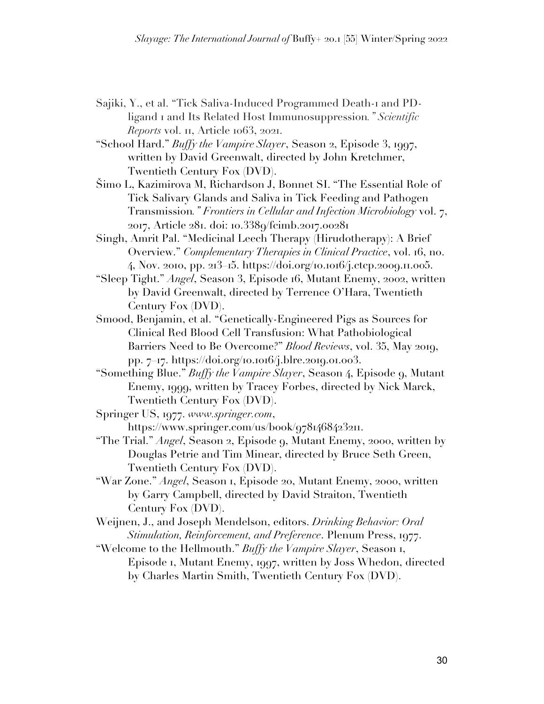- Sajiki, Y., et al. "Tick Saliva-Induced Programmed Death-1 and PDligand 1 and Its Related Host Immunosuppression*." Scientific Reports* vol. 11, Article 1063, 2021.
- "School Hard." *Buffy the Vampire Slayer*, Season 2, Episode 3, 1997, written by David Greenwalt, directed by John Kretchmer, Twentieth Century Fox (DVD).
- Šimo L, Kazimirova M, Richardson J, Bonnet SI. "The Essential Role of Tick Salivary Glands and Saliva in Tick Feeding and Pathogen Transmission*." Frontiers in Cellular and Infection Microbiology* vol. 7, 2017, Article 281. doi: 10.3389/fcimb.2017.00281
- Singh, Amrit Pal. "Medicinal Leech Therapy (Hirudotherapy): A Brief Overview." *Complementary Therapies in Clinical Practice*, vol. 16, no. 4, Nov. 2010, pp. 213–15. https://doi.org/10.1016/j.ctcp.2009.11.005.
- "Sleep Tight." *Angel*, Season 3, Episode 16, Mutant Enemy, 2002, written by David Greenwalt, directed by Terrence O'Hara, Twentieth Century Fox (DVD).
- Smood, Benjamin, et al. "Genetically-Engineered Pigs as Sources for Clinical Red Blood Cell Transfusion: What Pathobiological Barriers Need to Be Overcome?" *Blood Reviews*, vol. 35, May 2019, pp. 7–17. https://doi.org/10.1016/j.blre.2019.01.003.
- "Something Blue." *Buffy the Vampire Slayer*, Season 4, Episode 9, Mutant Enemy, 1999, written by Tracey Forbes, directed by Nick Marck, Twentieth Century Fox (DVD).
- Springer US, 1977. *www.springer.com*, https://www.springer.com/us/book/9781468423211.
- "The Trial." *Angel*, Season 2, Episode 9, Mutant Enemy, 2000, written by Douglas Petrie and Tim Minear, directed by Bruce Seth Green, Twentieth Century Fox (DVD).
- "War Zone." *Angel*, Season 1, Episode 20, Mutant Enemy, 2000, written by Garry Campbell, directed by David Straiton, Twentieth Century Fox (DVD).
- Weijnen, J., and Joseph Mendelson, editors. *Drinking Behavior: Oral Stimulation, Reinforcement, and Preference*. Plenum Press, 1977.
- "Welcome to the Hellmouth." *Buffy the Vampire Slayer*, Season 1, Episode 1, Mutant Enemy, 1997, written by Joss Whedon, directed by Charles Martin Smith, Twentieth Century Fox (DVD).